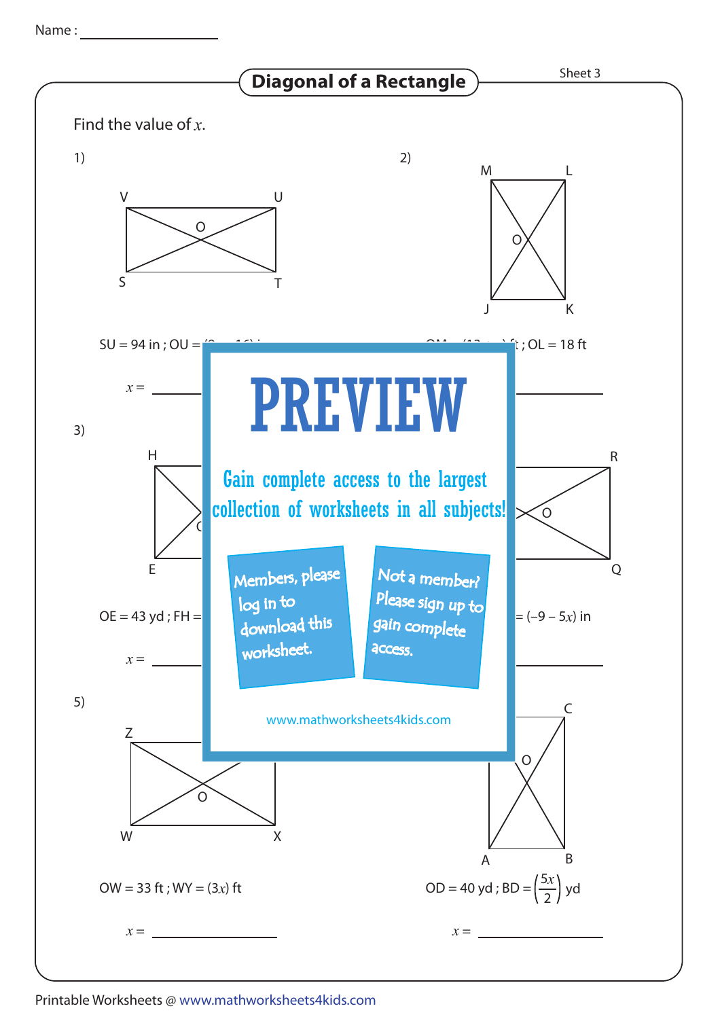